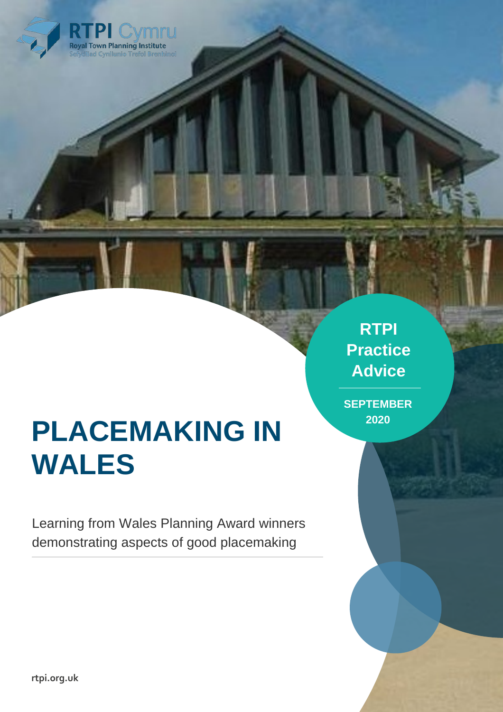

# **PLACEMAKING IN WALES**

Learning from Wales Planning Award winners demonstrating aspects of good placemaking

**RTPI Practice Advice**

**SEPTEMBER 2020**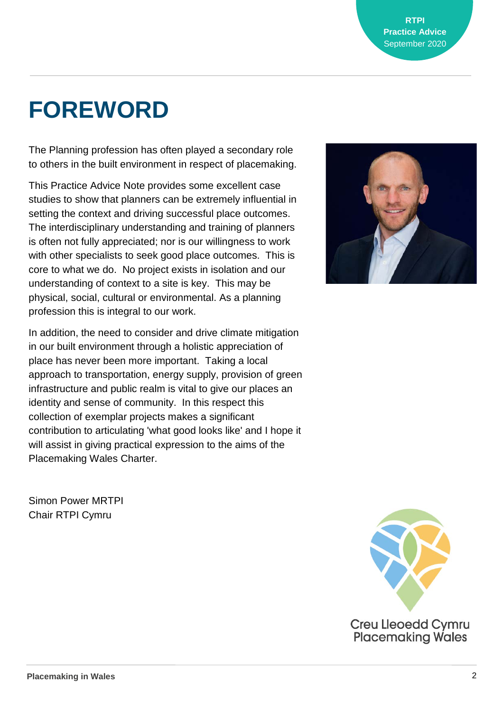# **FOREWORD**

The Planning profession has often played a secondary role to others in the built environment in respect of placemaking.

This Practice Advice Note provides some excellent case studies to show that planners can be extremely influential in setting the context and driving successful place outcomes. The interdisciplinary understanding and training of planners is often not fully appreciated; nor is our willingness to work with other specialists to seek good place outcomes. This is core to what we do. No project exists in isolation and our understanding of context to a site is key. This may be physical, social, cultural or environmental. As a planning profession this is integral to our work.

In addition, the need to consider and drive climate mitigation in our built environment through a holistic appreciation of place has never been more important. Taking a local approach to transportation, energy supply, provision of green infrastructure and public realm is vital to give our places an identity and sense of community. In this respect this collection of exemplar projects makes a significant contribution to articulating 'what good looks like' and I hope it will assist in giving practical expression to the aims of the Placemaking Wales Charter.

Simon Power MRTPI Chair RTPI Cymru

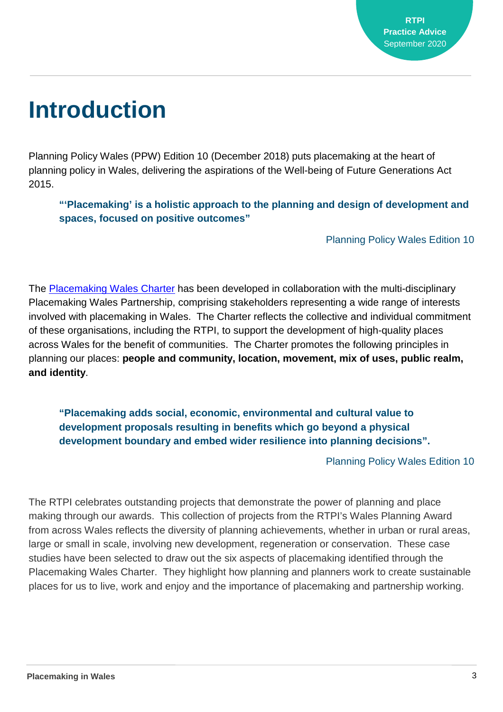# **Introduction**

Planning Policy Wales (PPW) Edition 10 (December 2018) puts placemaking at the heart of planning policy in Wales, delivering the aspirations of the Well-being of Future Generations Act 2015.

**"'Placemaking' is a holistic approach to the planning and design of development and spaces, focused on positive outcomes"**

Planning Policy Wales Edition 10

The [Placemaking Wales Charter](http://www.rtpi.org.uk/placemakingwales) has been developed in collaboration with the multi-disciplinary Placemaking Wales Partnership, comprising stakeholders representing a wide range of interests involved with placemaking in Wales. The Charter reflects the collective and individual commitment of these organisations, including the RTPI, to support the development of high-quality places across Wales for the benefit of communities. The Charter promotes the following principles in planning our places: **people and community, location, movement, mix of uses, public realm, and identity**.

**"Placemaking adds social, economic, environmental and cultural value to development proposals resulting in benefits which go beyond a physical development boundary and embed wider resilience into planning decisions".**

Planning Policy Wales Edition 10

The RTPI celebrates outstanding projects that demonstrate the power of planning and place making through our awards. This collection of projects from the RTPI's Wales Planning Award from across Wales reflects the diversity of planning achievements, whether in urban or rural areas, large or small in scale, involving new development, regeneration or conservation. These case studies have been selected to draw out the six aspects of placemaking identified through the Placemaking Wales Charter. They highlight how planning and planners work to create sustainable places for us to live, work and enjoy and the importance of placemaking and partnership working.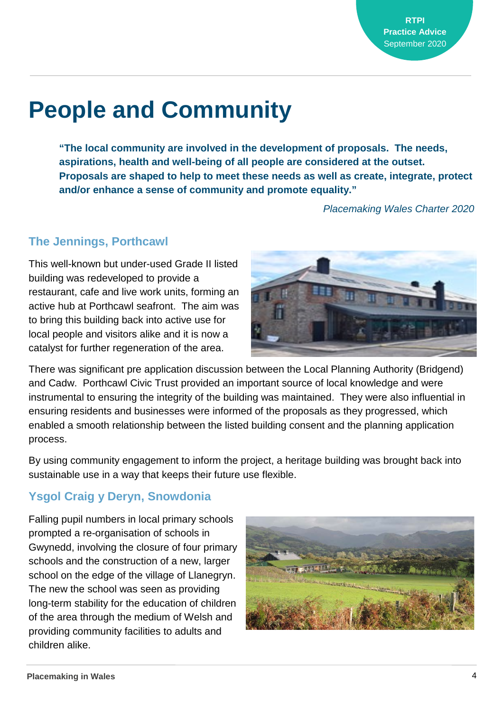# **People and Community**

**"The local community are involved in the development of proposals. The needs, aspirations, health and well-being of all people are considered at the outset. Proposals are shaped to help to meet these needs as well as create, integrate, protect and/or enhance a sense of community and promote equality."** 

*Placemaking Wales Charter 2020*

#### **The Jennings, Porthcawl**

This well-known but under-used Grade II listed building was redeveloped to provide a restaurant, cafe and live work units, forming an active hub at Porthcawl seafront. The aim was to bring this building back into active use for local people and visitors alike and it is now a catalyst for further regeneration of the area.



There was significant pre application discussion between the Local Planning Authority (Bridgend) and Cadw. Porthcawl Civic Trust provided an important source of local knowledge and were instrumental to ensuring the integrity of the building was maintained. They were also influential in ensuring residents and businesses were informed of the proposals as they progressed, which enabled a smooth relationship between the listed building consent and the planning application process.

By using community engagement to inform the project, a heritage building was brought back into sustainable use in a way that keeps their future use flexible.

### **Ysgol Craig y Deryn, Snowdonia**

Falling pupil numbers in local primary schools prompted a re-organisation of schools in Gwynedd, involving the closure of four primary schools and the construction of a new, larger school on the edge of the village of Llanegryn. The new the school was seen as providing long-term stability for the education of children of the area through the medium of Welsh and providing community facilities to adults and children alike.

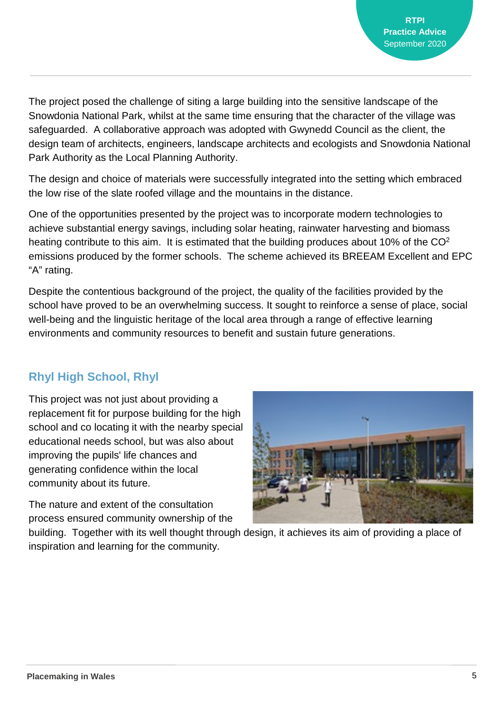The project posed the challenge of siting a large building into the sensitive landscape of the Snowdonia National Park, whilst at the same time ensuring that the character of the village was safeguarded. A collaborative approach was adopted with Gwynedd Council as the client, the design team of architects, engineers, landscape architects and ecologists and Snowdonia National Park Authority as the Local Planning Authority.

The design and choice of materials were successfully integrated into the setting which embraced the low rise of the slate roofed village and the mountains in the distance.

One of the opportunities presented by the project was to incorporate modern technologies to achieve substantial energy savings, including solar heating, rainwater harvesting and biomass heating contribute to this aim. It is estimated that the building produces about 10% of the CO<sup>2</sup> emissions produced by the former schools. The scheme achieved its BREEAM Excellent and EPC "A" rating.

Despite the contentious background of the project, the quality of the facilities provided by the school have proved to be an overwhelming success. It sought to reinforce a sense of place, social well-being and the linguistic heritage of the local area through a range of effective learning environments and community resources to benefit and sustain future generations.

### **Rhyl High School, Rhyl**

This project was not just about providing a replacement fit for purpose building for the high school and co locating it with the nearby special educational needs school, but was also about improving the pupils' life chances and generating confidence within the local community about its future.

The nature and extent of the consultation process ensured community ownership of the



building. Together with its well thought through design, it achieves its aim of providing a place of inspiration and learning for the community.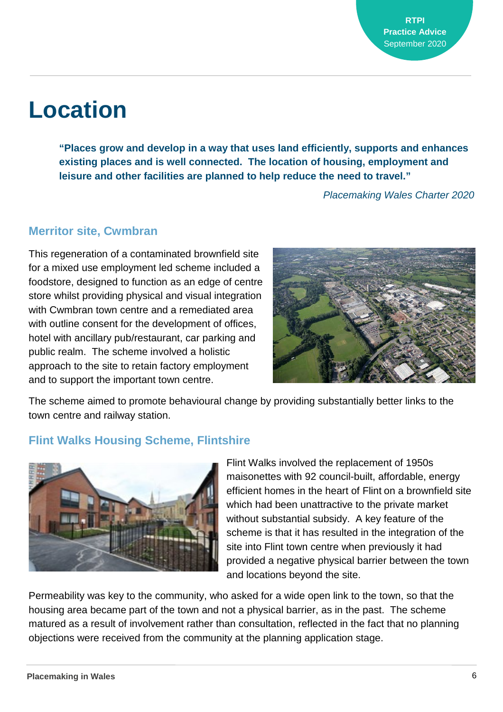# **Location**

**"Places grow and develop in a way that uses land efficiently, supports and enhances existing places and is well connected. The location of housing, employment and leisure and other facilities are planned to help reduce the need to travel."**

*Placemaking Wales Charter 2020*

#### **Merritor site, Cwmbran**

This regeneration of a contaminated brownfield site for a mixed use employment led scheme included a foodstore, designed to function as an edge of centre store whilst providing physical and visual integration with Cwmbran town centre and a remediated area with outline consent for the development of offices, hotel with ancillary pub/restaurant, car parking and public realm. The scheme involved a holistic approach to the site to retain factory employment and to support the important town centre.



The scheme aimed to promote behavioural change by providing substantially better links to the town centre and railway station.

#### **Flint Walks Housing Scheme, Flintshire**



Flint Walks involved the replacement of 1950s maisonettes with 92 council-built, affordable, energy efficient homes in the heart of Flint on a brownfield site which had been unattractive to the private market without substantial subsidy. A key feature of the scheme is that it has resulted in the integration of the site into Flint town centre when previously it had provided a negative physical barrier between the town and locations beyond the site.

Permeability was key to the community, who asked for a wide open link to the town, so that the housing area became part of the town and not a physical barrier, as in the past. The scheme matured as a result of involvement rather than consultation, reflected in the fact that no planning objections were received from the community at the planning application stage.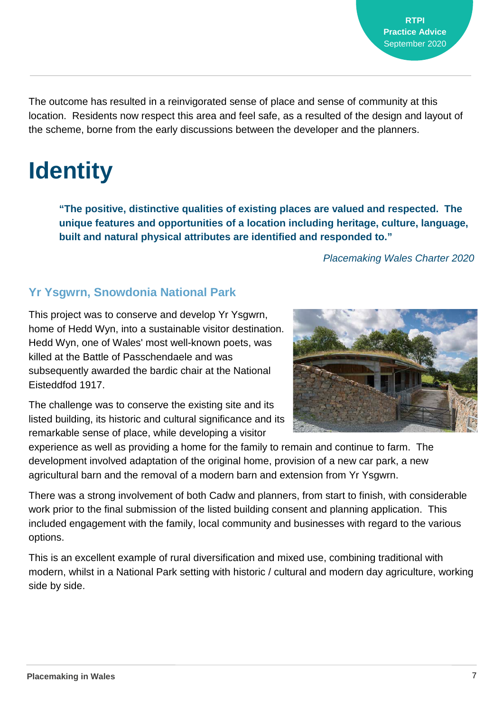The outcome has resulted in a reinvigorated sense of place and sense of community at this location. Residents now respect this area and feel safe, as a resulted of the design and layout of the scheme, borne from the early discussions between the developer and the planners.

# **Identity**

**"The positive, distinctive qualities of existing places are valued and respected. The unique features and opportunities of a location including heritage, culture, language, built and natural physical attributes are identified and responded to."**

*Placemaking Wales Charter 2020*

### **Yr Ysgwrn, Snowdonia National Park**

This project was to conserve and develop Yr Ysgwrn, home of Hedd Wyn, into a sustainable visitor destination. Hedd Wyn, one of Wales' most well-known poets, was killed at the Battle of Passchendaele and was subsequently awarded the bardic chair at the National Eisteddfod 1917.



The challenge was to conserve the existing site and its listed building, its historic and cultural significance and its remarkable sense of place, while developing a visitor

experience as well as providing a home for the family to remain and continue to farm. The development involved adaptation of the original home, provision of a new car park, a new agricultural barn and the removal of a modern barn and extension from Yr Ysgwrn.

There was a strong involvement of both Cadw and planners, from start to finish, with considerable work prior to the final submission of the listed building consent and planning application. This included engagement with the family, local community and businesses with regard to the various options.

This is an excellent example of rural diversification and mixed use, combining traditional with modern, whilst in a National Park setting with historic / cultural and modern day agriculture, working side by side.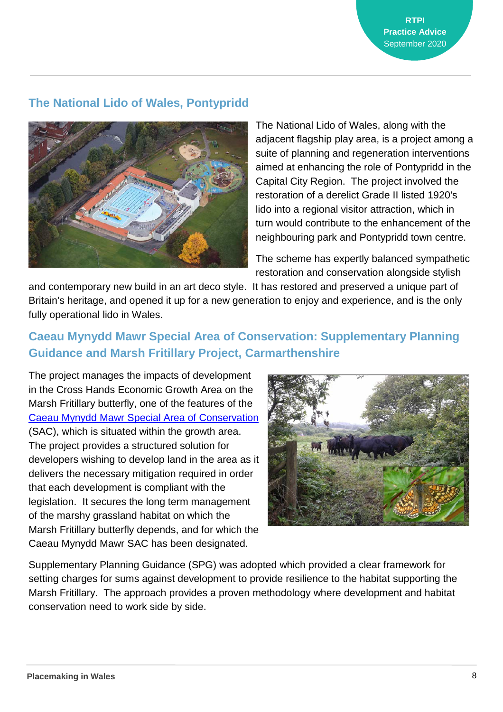**RTPI Practice Advice** September 2020

#### **The National Lido of Wales, Pontypridd**



The National Lido of Wales, along with the adjacent flagship play area, is a project among a suite of planning and regeneration interventions aimed at enhancing the role of Pontypridd in the Capital City Region. The project involved the restoration of a derelict Grade II listed 1920's lido into a regional visitor attraction, which in turn would contribute to the enhancement of the neighbouring park and Pontypridd town centre.

The scheme has expertly balanced sympathetic restoration and conservation alongside stylish

and contemporary new build in an art deco style. It has restored and preserved a unique part of Britain's heritage, and opened it up for a new generation to enjoy and experience, and is the only fully operational lido in Wales.

### **Caeau Mynydd Mawr Special Area of Conservation: Supplementary Planning Guidance and Marsh Fritillary Project, Carmarthenshire**

The project manages the impacts of development in the Cross Hands Economic Growth Area on the Marsh Fritillary butterfly, one of the features of the [Caeau Mynydd Mawr Special Area of Conservation](https://www.carmarthenshire.gov.wales/home/council-services/planning/biodiversity/marsh-fritillary-project/#.Xw3H5ulYbmU) (SAC), which is situated within the growth area. The project provides a structured solution for developers wishing to develop land in the area as it delivers the necessary mitigation required in order that each development is compliant with the legislation. It secures the long term management of the marshy grassland habitat on which the Marsh Fritillary butterfly depends, and for which the Caeau Mynydd Mawr SAC has been designated.



Supplementary Planning Guidance (SPG) was adopted which provided a clear framework for setting charges for sums against development to provide resilience to the habitat supporting the Marsh Fritillary. The approach provides a proven methodology where development and habitat conservation need to work side by side.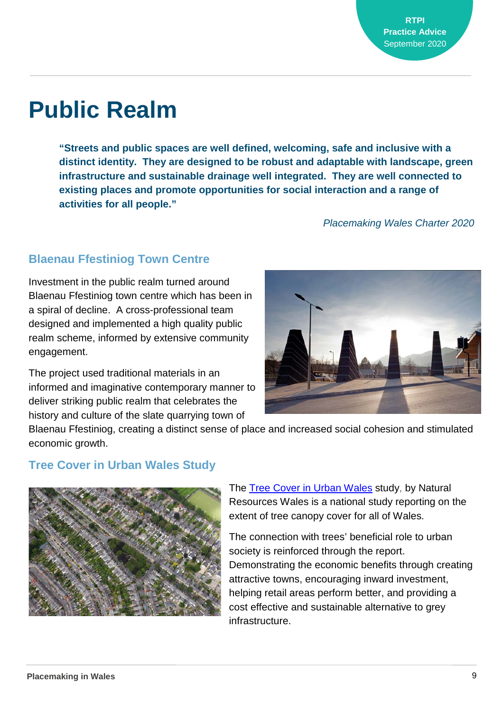# **Public Realm**

**"Streets and public spaces are well defined, welcoming, safe and inclusive with a distinct identity. They are designed to be robust and adaptable with landscape, green infrastructure and sustainable drainage well integrated. They are well connected to existing places and promote opportunities for social interaction and a range of activities for all people."**

*Placemaking Wales Charter 2020*

### **Blaenau Ffestiniog Town Centre**

Investment in the public realm turned around Blaenau Ffestiniog town centre which has been in a spiral of decline. A cross-professional team designed and implemented a high quality public realm scheme, informed by extensive community engagement.

The project used traditional materials in an informed and imaginative contemporary manner to deliver striking public realm that celebrates the history and culture of the slate quarrying town of



Blaenau Ffestiniog, creating a distinct sense of place and increased social cohesion and stimulated economic growth.

#### **Tree Cover in Urban Wales Study**



The Tree Cover in Urban [Wales](https://naturalresources.wales/about-us/what-we-do/green-spaces/urban-trees/?lang=en) study, by Natural Resources Wales is a national study reporting on the extent of tree canopy cover for all of Wales.

The connection with trees' beneficial role to urban society is reinforced through the report. Demonstrating the economic benefits through creating attractive towns, encouraging inward investment, helping retail areas perform better, and providing a cost effective and sustainable alternative to grey infrastructure.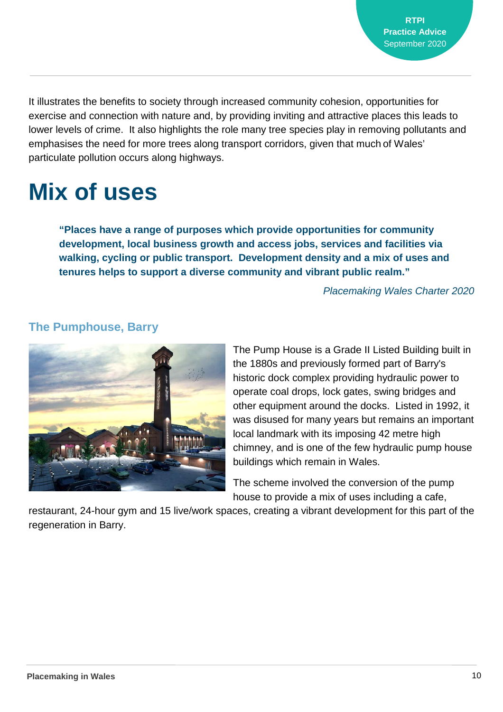It illustrates the benefits to society through increased community cohesion, opportunities for exercise and connection with nature and, by providing inviting and attractive places this leads to lower levels of crime. It also highlights the role many tree species play in removing pollutants and emphasises the need for more trees along transport corridors, given that much of Wales' particulate pollution occurs along highways.

# **Mix of uses**

**"Places have a range of purposes which provide opportunities for community development, local business growth and access jobs, services and facilities via walking, cycling or public transport. Development density and a mix of uses and tenures helps to support a diverse community and vibrant public realm."**

*Placemaking Wales Charter 2020*



### **The Pumphouse, Barry**

The Pump House is a Grade II Listed Building built in the 1880s and previously formed part of Barry's historic dock complex providing hydraulic power to operate coal drops, lock gates, swing bridges and other equipment around the docks. Listed in 1992, it was disused for many years but remains an important local landmark with its imposing 42 metre high chimney, and is one of the few hydraulic pump house buildings which remain in Wales.

The scheme involved the conversion of the pump house to provide a mix of uses including a cafe,

restaurant, 24-hour gym and 15 live/work spaces, creating a vibrant development for this part of the regeneration in Barry.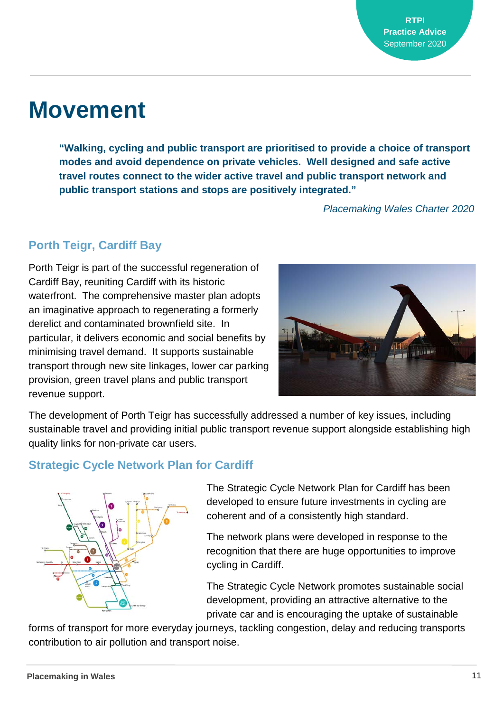### **Movement**

**"Walking, cycling and public transport are prioritised to provide a choice of transport modes and avoid dependence on private vehicles. Well designed and safe active travel routes connect to the wider active travel and public transport network and public transport stations and stops are positively integrated."** 

*Placemaking Wales Charter 2020*

### **Porth Teigr, Cardiff Bay**

Porth Teigr is part of the successful regeneration of Cardiff Bay, reuniting Cardiff with its historic waterfront. The comprehensive master plan adopts an imaginative approach to regenerating a formerly derelict and contaminated brownfield site. In particular, it delivers economic and social benefits by minimising travel demand. It supports sustainable transport through new site linkages, lower car parking provision, green travel plans and public transport revenue support.



The development of Porth Teigr has successfully addressed a number of key issues, including sustainable travel and providing initial public transport revenue support alongside establishing high quality links for non-private car users.

#### **Strategic Cycle Network Plan for Cardiff**



The Strategic Cycle Network Plan for Cardiff has been developed to ensure future investments in cycling are coherent and of a consistently high standard.

The network plans were developed in response to the recognition that there are huge opportunities to improve cycling in Cardiff.

The Strategic Cycle Network promotes sustainable social development, providing an attractive alternative to the private car and is encouraging the uptake of sustainable

forms of transport for more everyday journeys, tackling congestion, delay and reducing transports contribution to air pollution and transport noise.